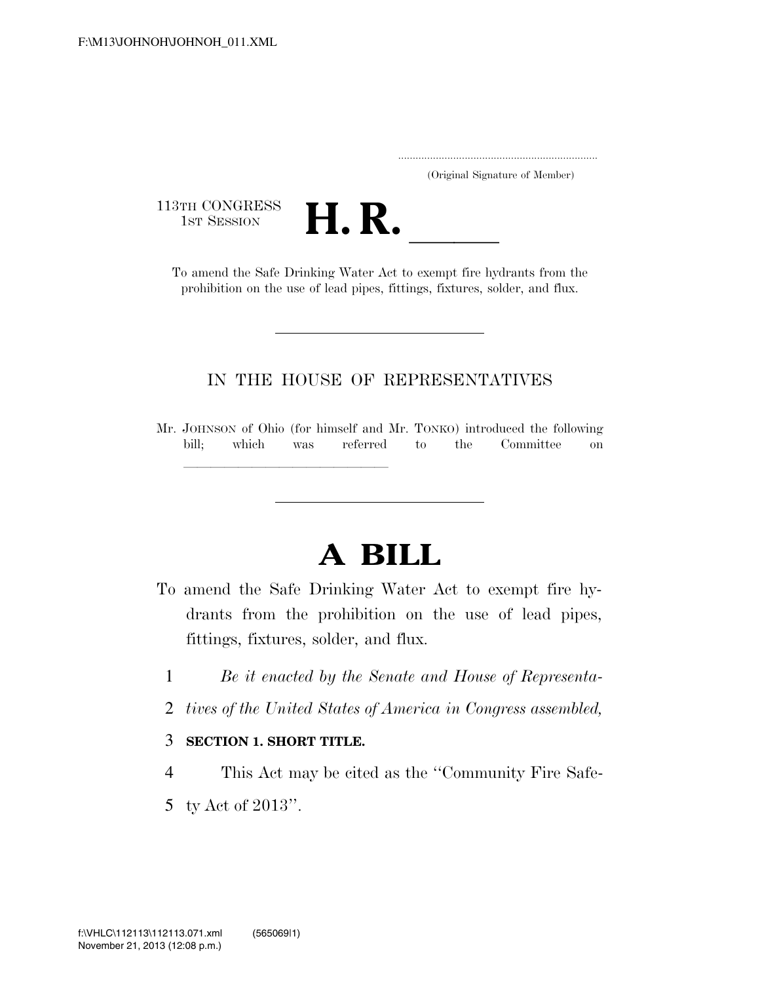..................................................................... (Original Signature of Member)

113TH CONGRESS



To amend the Safe Drinking Water Act to exempt fire hydrants from the prohibition on the use of lead pipes, fittings, fixtures, solder, and flux.

## IN THE HOUSE OF REPRESENTATIVES

Mr. JOHNSON of Ohio (for himself and Mr. TONKO) introduced the following bill; which was referred to the Committee on

## **A BILL**

- To amend the Safe Drinking Water Act to exempt fire hydrants from the prohibition on the use of lead pipes, fittings, fixtures, solder, and flux.
	- 1 *Be it enacted by the Senate and House of Representa-*
	- 2 *tives of the United States of America in Congress assembled,*

## 3 **SECTION 1. SHORT TITLE.**

lllllllllllllll

- 4 This Act may be cited as the ''Community Fire Safe-
- 5 ty Act of 2013''.